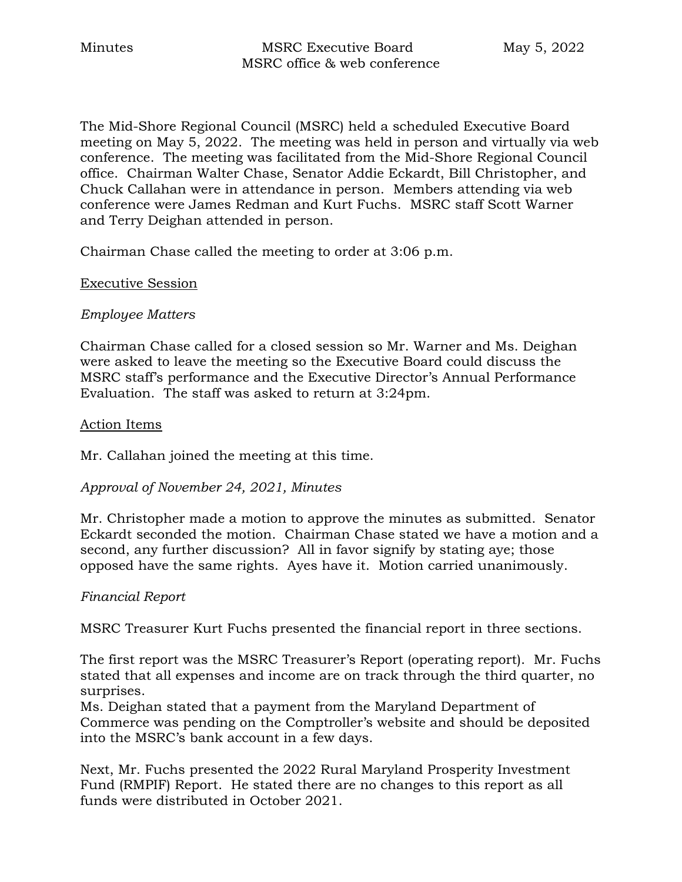The Mid-Shore Regional Council (MSRC) held a scheduled Executive Board meeting on May 5, 2022. The meeting was held in person and virtually via web conference. The meeting was facilitated from the Mid-Shore Regional Council office. Chairman Walter Chase, Senator Addie Eckardt, Bill Christopher, and Chuck Callahan were in attendance in person. Members attending via web conference were James Redman and Kurt Fuchs. MSRC staff Scott Warner and Terry Deighan attended in person.

Chairman Chase called the meeting to order at 3:06 p.m.

#### Executive Session

#### *Employee Matters*

Chairman Chase called for a closed session so Mr. Warner and Ms. Deighan were asked to leave the meeting so the Executive Board could discuss the MSRC staff's performance and the Executive Director's Annual Performance Evaluation. The staff was asked to return at 3:24pm.

#### Action Items

Mr. Callahan joined the meeting at this time.

#### *Approval of November 24, 2021, Minutes*

Mr. Christopher made a motion to approve the minutes as submitted. Senator Eckardt seconded the motion. Chairman Chase stated we have a motion and a second, any further discussion? All in favor signify by stating aye; those opposed have the same rights. Ayes have it. Motion carried unanimously.

#### *Financial Report*

MSRC Treasurer Kurt Fuchs presented the financial report in three sections.

The first report was the MSRC Treasurer's Report (operating report). Mr. Fuchs stated that all expenses and income are on track through the third quarter, no surprises.

Ms. Deighan stated that a payment from the Maryland Department of Commerce was pending on the Comptroller's website and should be deposited into the MSRC's bank account in a few days.

Next, Mr. Fuchs presented the 2022 Rural Maryland Prosperity Investment Fund (RMPIF) Report. He stated there are no changes to this report as all funds were distributed in October 2021.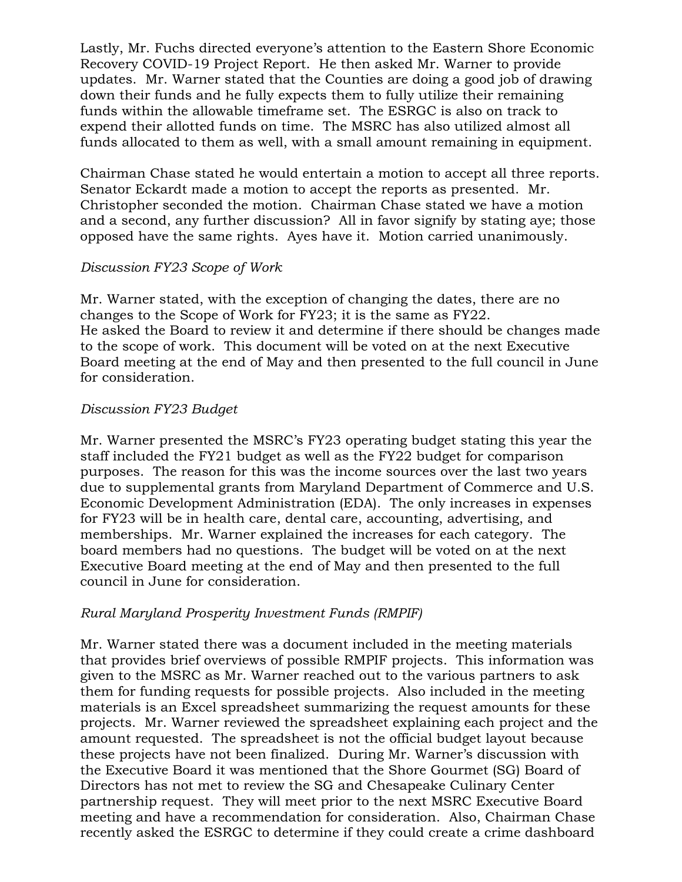Lastly, Mr. Fuchs directed everyone's attention to the Eastern Shore Economic Recovery COVID-19 Project Report. He then asked Mr. Warner to provide updates. Mr. Warner stated that the Counties are doing a good job of drawing down their funds and he fully expects them to fully utilize their remaining funds within the allowable timeframe set. The ESRGC is also on track to expend their allotted funds on time. The MSRC has also utilized almost all funds allocated to them as well, with a small amount remaining in equipment.

Chairman Chase stated he would entertain a motion to accept all three reports. Senator Eckardt made a motion to accept the reports as presented. Mr. Christopher seconded the motion. Chairman Chase stated we have a motion and a second, any further discussion? All in favor signify by stating aye; those opposed have the same rights. Ayes have it. Motion carried unanimously.

### *Discussion FY23 Scope of Work*

Mr. Warner stated, with the exception of changing the dates, there are no changes to the Scope of Work for FY23; it is the same as FY22. He asked the Board to review it and determine if there should be changes made to the scope of work. This document will be voted on at the next Executive Board meeting at the end of May and then presented to the full council in June for consideration.

### *Discussion FY23 Budget*

Mr. Warner presented the MSRC's FY23 operating budget stating this year the staff included the FY21 budget as well as the FY22 budget for comparison purposes. The reason for this was the income sources over the last two years due to supplemental grants from Maryland Department of Commerce and U.S. Economic Development Administration (EDA). The only increases in expenses for FY23 will be in health care, dental care, accounting, advertising, and memberships. Mr. Warner explained the increases for each category. The board members had no questions. The budget will be voted on at the next Executive Board meeting at the end of May and then presented to the full council in June for consideration.

## *Rural Maryland Prosperity Investment Funds (RMPIF)*

Mr. Warner stated there was a document included in the meeting materials that provides brief overviews of possible RMPIF projects. This information was given to the MSRC as Mr. Warner reached out to the various partners to ask them for funding requests for possible projects. Also included in the meeting materials is an Excel spreadsheet summarizing the request amounts for these projects. Mr. Warner reviewed the spreadsheet explaining each project and the amount requested. The spreadsheet is not the official budget layout because these projects have not been finalized. During Mr. Warner's discussion with the Executive Board it was mentioned that the Shore Gourmet (SG) Board of Directors has not met to review the SG and Chesapeake Culinary Center partnership request. They will meet prior to the next MSRC Executive Board meeting and have a recommendation for consideration. Also, Chairman Chase recently asked the ESRGC to determine if they could create a crime dashboard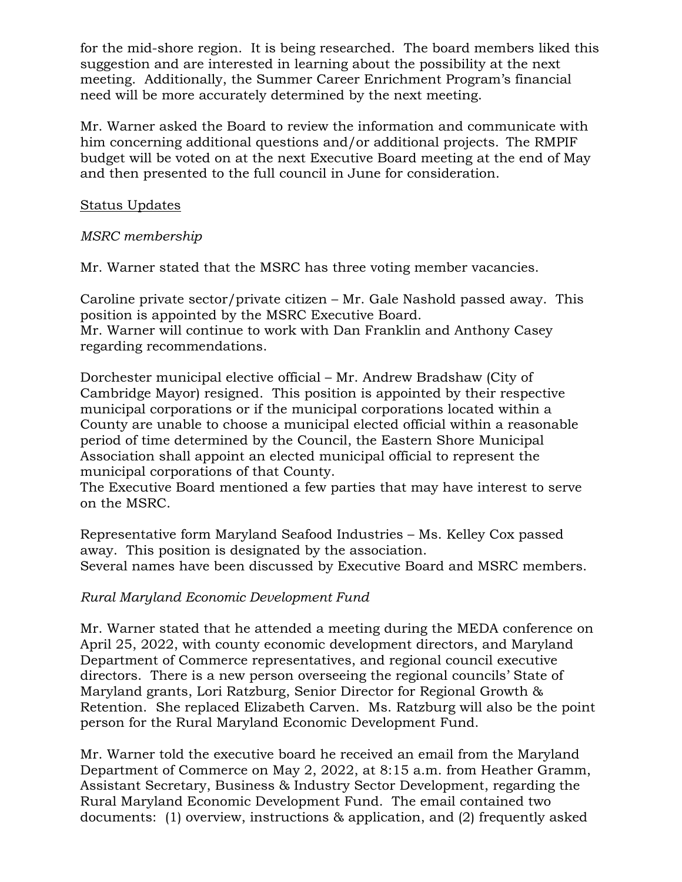for the mid-shore region. It is being researched. The board members liked this suggestion and are interested in learning about the possibility at the next meeting. Additionally, the Summer Career Enrichment Program's financial need will be more accurately determined by the next meeting.

Mr. Warner asked the Board to review the information and communicate with him concerning additional questions and/or additional projects. The RMPIF budget will be voted on at the next Executive Board meeting at the end of May and then presented to the full council in June for consideration.

## Status Updates

# *MSRC membership*

Mr. Warner stated that the MSRC has three voting member vacancies.

Caroline private sector/private citizen – Mr. Gale Nashold passed away. This position is appointed by the MSRC Executive Board. Mr. Warner will continue to work with Dan Franklin and Anthony Casey regarding recommendations.

Dorchester municipal elective official – Mr. Andrew Bradshaw (City of Cambridge Mayor) resigned. This position is appointed by their respective municipal corporations or if the municipal corporations located within a County are unable to choose a municipal elected official within a reasonable period of time determined by the Council, the Eastern Shore Municipal Association shall appoint an elected municipal official to represent the municipal corporations of that County.

The Executive Board mentioned a few parties that may have interest to serve on the MSRC.

Representative form Maryland Seafood Industries – Ms. Kelley Cox passed away. This position is designated by the association. Several names have been discussed by Executive Board and MSRC members.

## *Rural Maryland Economic Development Fund*

Mr. Warner stated that he attended a meeting during the MEDA conference on April 25, 2022, with county economic development directors, and Maryland Department of Commerce representatives, and regional council executive directors. There is a new person overseeing the regional councils' State of Maryland grants, Lori Ratzburg, Senior Director for Regional Growth & Retention. She replaced Elizabeth Carven. Ms. Ratzburg will also be the point person for the Rural Maryland Economic Development Fund.

Mr. Warner told the executive board he received an email from the Maryland Department of Commerce on May 2, 2022, at 8:15 a.m. from Heather Gramm, Assistant Secretary, Business & Industry Sector Development, regarding the Rural Maryland Economic Development Fund. The email contained two documents: (1) overview, instructions & application, and (2) frequently asked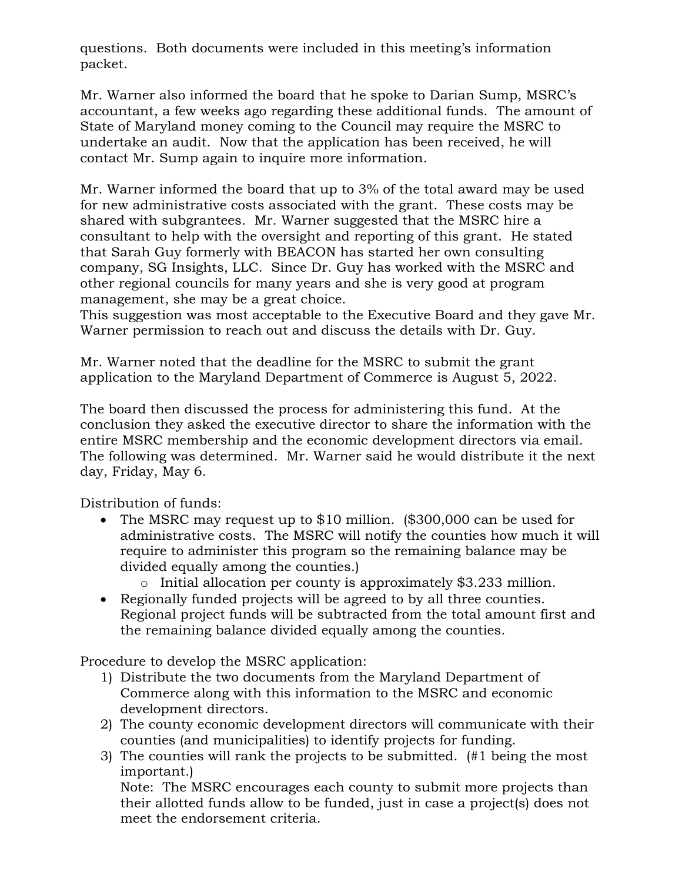questions. Both documents were included in this meeting's information packet.

Mr. Warner also informed the board that he spoke to Darian Sump, MSRC's accountant, a few weeks ago regarding these additional funds. The amount of State of Maryland money coming to the Council may require the MSRC to undertake an audit. Now that the application has been received, he will contact Mr. Sump again to inquire more information.

Mr. Warner informed the board that up to 3% of the total award may be used for new administrative costs associated with the grant. These costs may be shared with subgrantees. Mr. Warner suggested that the MSRC hire a consultant to help with the oversight and reporting of this grant. He stated that Sarah Guy formerly with BEACON has started her own consulting company, SG Insights, LLC. Since Dr. Guy has worked with the MSRC and other regional councils for many years and she is very good at program management, she may be a great choice.

This suggestion was most acceptable to the Executive Board and they gave Mr. Warner permission to reach out and discuss the details with Dr. Guy.

Mr. Warner noted that the deadline for the MSRC to submit the grant application to the Maryland Department of Commerce is August 5, 2022.

The board then discussed the process for administering this fund. At the conclusion they asked the executive director to share the information with the entire MSRC membership and the economic development directors via email. The following was determined. Mr. Warner said he would distribute it the next day, Friday, May 6.

Distribution of funds:

- The MSRC may request up to \$10 million. (\$300,000 can be used for administrative costs. The MSRC will notify the counties how much it will require to administer this program so the remaining balance may be divided equally among the counties.)
	- o Initial allocation per county is approximately \$3.233 million.
- Regionally funded projects will be agreed to by all three counties. Regional project funds will be subtracted from the total amount first and the remaining balance divided equally among the counties.

Procedure to develop the MSRC application:

- 1) Distribute the two documents from the Maryland Department of Commerce along with this information to the MSRC and economic development directors.
- 2) The county economic development directors will communicate with their counties (and municipalities) to identify projects for funding.
- 3) The counties will rank the projects to be submitted. (#1 being the most important.)

Note: The MSRC encourages each county to submit more projects than their allotted funds allow to be funded, just in case a project(s) does not meet the endorsement criteria.